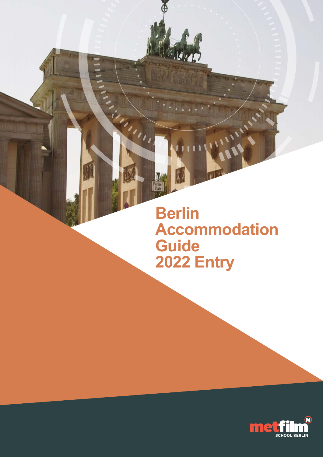**Berlin Accommodation Guide 2022 Entry**

A.B.

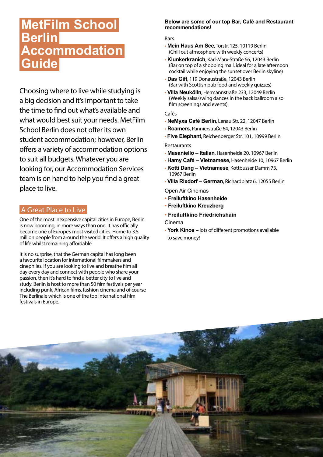# **MetFilm School Berlin Accommodation Guide**

Choosing where to live while studying is a big decision and it's important to take the time to find out what's available and what would best suit your needs. MetFilm School Berlin does not offer its own student accommodation; however, Berlin offers a variety of accommodation options to suit all budgets. Whatever you are looking for, our Accommodation Services team is on hand to help you find a great place to live.

# A Great Place to Live

One of the most inexpensive capital cities in Europe, Berlin is now booming, in more ways than one. It has officially become one of Europe's most visited cities. Home to 3.5 million people from around the world. It offers a high quality of life whilst remaining affordable.

It is no surprise, that the German capital has long been a favourite location for international filmmakers and cinephiles. If you are looking to live and breathe film all day every day and connect with people who share your passion, then it's hard to find a better city to live and study. Berlin is host to more than 50 film festivals per year including punk, African films, fashion cinema and of course The Berlinale which is one of the top international film festivals in Europe.

#### **Below are some of our top Bar, Café and Restaurant recommendations!**

#### Bars

- **Mein Haus Am See**, Torstr. 125, 10119 Berlin (Chill out atmosphere with weekly concerts)
- **Klunkerkranich**, Karl-Marx-Straße 66, 12043 Berlin (Bar on top of a shopping mall, ideal for a late afternoon cocktail while enjoying the sunset over Berlin skyline)
- **Das Gift**, 119 Donaustraße, 12043 Berlin (Bar with Scottish pub food and weekly quizzes)
- **Villa Neukölln**, Hermannstraße 233, 12049 Berlin (Weekly salsa/swing dances in the back ballroom also film screenings and events)

#### Cafés

- **NeMyxa Café Berlin**, Lenau Str. 22, 12047 Berlin
- **Roamers**, Pannierstraße 64, 12043 Berlin
- **Five Elephant**, Reichenberger Str. 101, 10999 Berlin

#### Restaurants

- **Masaniello Italian**, Hasenheide 20, 10967 Berlin
- **Hamy Café Vietnamese**, Hasenheide 10, 10967 Berlin
- **Kotti Dang Vietnamese**, Kottbusser Damm 73, 10967 Berlin
- **Villa Rixdorf German**, Richardplatz 6, 12055 Berlin

Open Air Cinemas

- **• Freiluftkino Hasenheide**
- **• Freiluftkino Kreuzberg**
- **• Freiluftkino Friedrichshain**

#### Cinema

• **York Kinos** – lots of different promotions available to save money!

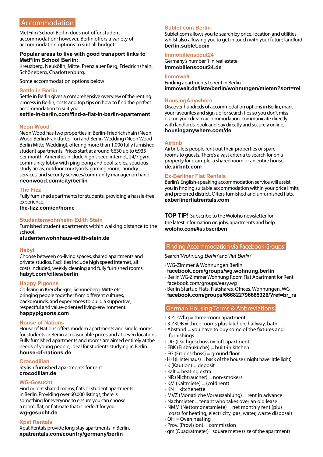# Accommodation

MetFilm School Berlin does not offer student accommodation; however, Berlin offers a variety of accommodation options to suit all budgets.

#### **Popular areas to live with good transport links to MetFilm School Berlin:**

Kreuzberg, Neukölln, Mitte, Prenzlauer Berg, Friedrichshain, Schöneberg, Charlottenburg.

Some accommodation options below:

#### **Settle in Berlin**

Settle in Berlin gives a comprehensive overview of the renting process in Berlin, costs and top tips on how to find the perfect accommodation to suit you.

#### **[settle-in-berlin.com/find-a-flat-in-berlin-apartement](http://settle-in-berlin.com/find-a-flat-in-berlin-apartement)**

#### **Neon Wood**

Neon Wood has two properties in Berlin-Friedrichshain (Neon Wood Berlin Frankfurter Tor) and Berlin-Wedding (Neon Wood Berlin Mitte-Wedding), offering more than 1,000 fully furnished student apartments. Prices start at around €630 up to €935 per month. Amenities include high speed internet, 24/7 gym, community lobby with ping-pong and pool tables, spacious study areas, outdoor courtyards, gaming room, laundry services, and security services/community manager on hand. **[neonwood.com/city/berlin](http://neonwood.com/city/berlin)**

#### **The Fizz**

Fully furnished apartments for students, providing a hassle-free experience. **[the-fizz.com/en/home](http://the-fizz.com/en/home)**

#### **Studentenwohnheim Edith Stein**

Furnished student apartments within walking distance to the school.

**[studentenwohnhaus-edith-stein.de](http://studentenwohnhaus-edith-stein.de )**

#### **Habyt**

Choose between co-living spaces, shared apartments and private studios. Facilities include high speed internet, all costs included, weekly cleaning and fully furnished rooms. **[habyt.com/cities/berlin](http://habyt.com/cities/berlin)** 

#### **Happy Pigeons**

Co-living in Kreuzbergm, Schoneberg, Mitte etc. bringing people together from different cultures, backgrounds, and experiences to build a supportive, respectful and value-oriented living-environment. **[happypigeons.com](http://happypigeons.com )** 

#### **House of Nations**

House of Nations offers modern apartments and single rooms for students in Berlin at reasonable prices and at seven locations. Fully furnished apartments and rooms are aimed entirely at the needs of young people; ideal for students studying in Berlin. **[house-of-nations.de](http://house-of-nations.de)**

#### **Crocodilian**

Stylish furnished apartments for rent. **[crocodilian.de](http://crocodilian.de)**

#### **WG-Gesucht**

Find or rent shared rooms, flats or student apartments in Berlin. Providing over 60,000 listings, there is something for everyone to ensure you can choose a room, flat, or flatmate that is perfect for you! **[wg-gesucht.de](http://wg-gesucht.de)**

#### **Xpat Rentals**

Xpat Rentals provide long stay apartments in Berlin. **[xpatrentals.com/country/germany/berlin](https://www.xpatrentals.com/country/germany/berlin)** 

#### **Sublet.com Berlin**

Sublet.com allows you to search by price, location and utilities whilst also allowing you to get in touch with your future landlord. **[berlin.sublet.com](https://www.sublet.com/berlin)** 

#### **Immobilienscout24**

Germany's number 1 in real estate. **[Immobilienscout24.de](http://Immobilienscout24.de)**

#### **Immowelt**

Finding apartments to rent in Berlin **[immowelt.de/liste/berlin/wohnungen/mieten?sort=rel](http://immowelt.de/liste/berlin/wohnungen/mieten?sort=rel)** 

#### **HousingAnywhere**

Discover hundreds of accommodation options in Berlin, mark your favourites and sign up for search tips so you don't miss out on your dream accommodation, communicate directly with landlords, book and pay directly and securely online. **[housinganywhere.com/de](https://housinganywhere.com/de/)** 

#### **Airbnb**

Airbnb lets people rent out their properties or spare rooms to guests. There's a vast criteria to search for on a property for example; a shared room or an entire house. **[de.airbnb.com](http://de.airbnb.com)**

#### **Ex-Berliner Flat Rentals**

Berlin's English-speaking accommodation service will assist you in finding suitable accommodation within your price limits and preferred district. Offers furnished and unfurnished flats. **[exberlinerflatrentals.com](http://exberlinerflatrentals.com/)**

**TOP TIP!** Subscribe to the Woloho newsletter for the latest information on jobs, apartments and help. **[woloho.com/#subscriben](https://www.woloho.com/#subscriben)**

#### Finding Accommodation via Facebook Groups

Search '*Wohnung Berlin*' and '*flat Berlin*'

- WG-Zimmer & Wohnungen Berlin **[facebook.com/groups/wg.wohnung.berlin](http://facebook.com/groups/wg.wohnung.berlin)**
- Berlin WG-Zimmer Wohnung Room Flat Apartment for Rent [facebook.com/groups/easy.wg](http://facebook.com/groups/easy.wg)
- Berlin Startup Flats, Flatshares, Offices, Wohnungen, WG **[facebook.com/groups/666822796665326/?ref=br\\_rs](http://facebook.com/groups/666822796665326/?ref=br_rs)**

#### German Housing Terms & Abbreviations

- $\cdot$  3 Zi.-Whg = three-room apartment
- 3 ZKDB = three rooms plus kitchen, hallway, bath
- $\cdot$  Abstand = you have to buy some of the fixtures and furnishings
- $\cdot$  DG (Dachgeschoss) = loft apartment
- EBK (Einbauküche) = built-in kitchen
- EG (Erdgeschoss) = ground floor
- •HH (Hinterhaus) = back of the house (might have little light)
- $\bullet$  K (Kaution) = deposit
- $\cdot$  kalt = heating extra
- $\cdot$  NR (Nichtraucher) = non-smokers
- $\cdot$  KM (Kaltmiete) = (cold rent)
- $\cdot$  KN = kitchenette
- $\bullet$  MVZ (Monatliche Vorauszahlung) = rent in advance
- Nachmieter = tenant who takes over an old lease
- $\cdot$  NMM (Nettomonatsmiete) = net monthly rent (plus) costs for heating, electricity, gas, water, waste disposal)  $\cdot$  OH = Oven heating
- 
- $\cdot$  Prov. (Provision) = commission
- qm (Quadratmeter)= square metre (size of the apartment)